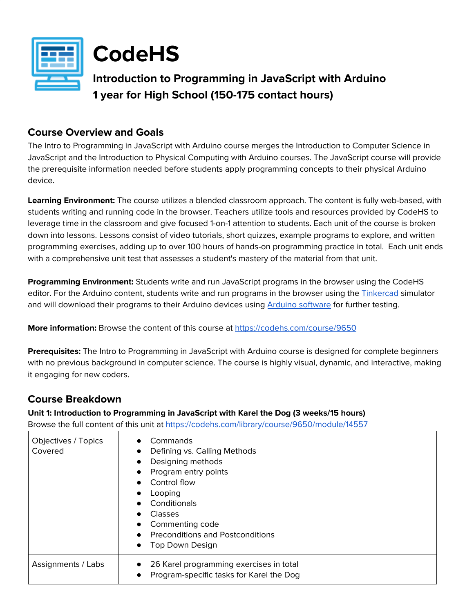



# **Introduction to Programming in JavaScript with Arduino 1 year for High School (150-175 contact hours)**

# **Course Overview and Goals**

The Intro to Programming in JavaScript with Arduino course merges the Introduction to Computer Science in JavaScript and the Introduction to Physical Computing with Arduino courses. The JavaScript course will provide the prerequisite information needed before students apply programming concepts to their physical Arduino device.

**Learning Environment:** The course utilizes a blended classroom approach. The content is fully web-based, with students writing and running code in the browser. Teachers utilize tools and resources provided by CodeHS to leverage time in the classroom and give focused 1-on-1 attention to students. Each unit of the course is broken down into lessons. Lessons consist of video tutorials, short quizzes, example programs to explore, and written programming exercises, adding up to over 100 hours of hands-on programming practice in total. Each unit ends with a comprehensive unit test that assesses a student's mastery of the material from that unit.

**Programming Environment:** Students write and run JavaScript programs in the browser using the CodeHS editor. For the Arduino content, students write and run programs in the browser using the **[Tinkercad](http://tinkercad.com/)** simulator and will download their programs to their Arduino devices using Arduino [software](https://www.arduino.cc/en/main/software) for further testing.

**More information:** Browse the content of this course at <https://codehs.com/course/9650>

**Prerequisites:** The Intro to Programming in JavaScript with Arduino course is designed for complete beginners with no previous background in computer science. The course is highly visual, dynamic, and interactive, making it engaging for new coders.

# **Course Breakdown**

**Unit 1: Introduction to Programming in JavaScript with Karel the Dog (3 weeks/15 hours)** Browse the full content of this unit at <https://codehs.com/library/course/9650/module/14557>

| Objectives / Topics<br>Covered | Commands<br>Defining vs. Calling Methods<br>Designing methods<br>$\bullet$<br>Program entry points<br>Control flow<br>Looping<br>Conditionals<br>Classes<br>Commenting code<br><b>Preconditions and Postconditions</b><br>Top Down Design<br>$\bullet$ |
|--------------------------------|--------------------------------------------------------------------------------------------------------------------------------------------------------------------------------------------------------------------------------------------------------|
| Assignments / Labs             | 26 Karel programming exercises in total<br>Program-specific tasks for Karel the Dog<br>$\bullet$                                                                                                                                                       |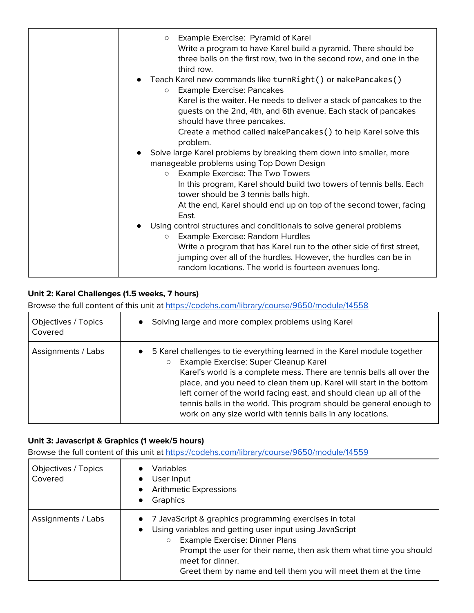| Example Exercise: Pyramid of Karel<br>$\circ$<br>Write a program to have Karel build a pyramid. There should be<br>three balls on the first row, two in the second row, and one in the<br>third row.                                                                                                                    |
|-------------------------------------------------------------------------------------------------------------------------------------------------------------------------------------------------------------------------------------------------------------------------------------------------------------------------|
| Teach Karel new commands like turnRight() or makePancakes()<br><b>Example Exercise: Pancakes</b><br>$\circ$<br>Karel is the waiter. He needs to deliver a stack of pancakes to the<br>guests on the 2nd, 4th, and 6th avenue. Each stack of pancakes<br>should have three pancakes.                                     |
| Create a method called makePancakes () to help Karel solve this<br>problem.                                                                                                                                                                                                                                             |
| Solve large Karel problems by breaking them down into smaller, more<br>manageable problems using Top Down Design<br><b>Example Exercise: The Two Towers</b><br>$\circ$                                                                                                                                                  |
| In this program, Karel should build two towers of tennis balls. Each<br>tower should be 3 tennis balls high.<br>At the end, Karel should end up on top of the second tower, facing<br>East.                                                                                                                             |
| Using control structures and conditionals to solve general problems<br>Example Exercise: Random Hurdles<br>$\circ$<br>Write a program that has Karel run to the other side of first street,<br>jumping over all of the hurdles. However, the hurdles can be in<br>random locations. The world is fourteen avenues long. |

## **Unit 2: Karel Challenges (1.5 weeks, 7 hours)**

Browse the full content of this unit at <https://codehs.com/library/course/9650/module/14558>

| Objectives / Topics | Solving large and more complex problems using Karel                                                                                                                                                                                                                                                                                                                                                                                                                                                      |
|---------------------|----------------------------------------------------------------------------------------------------------------------------------------------------------------------------------------------------------------------------------------------------------------------------------------------------------------------------------------------------------------------------------------------------------------------------------------------------------------------------------------------------------|
| Covered             | $\bullet$                                                                                                                                                                                                                                                                                                                                                                                                                                                                                                |
| Assignments / Labs  | 5 Karel challenges to tie everything learned in the Karel module together<br>$\bullet$<br>Example Exercise: Super Cleanup Karel<br>$\circ$<br>Karel's world is a complete mess. There are tennis balls all over the<br>place, and you need to clean them up. Karel will start in the bottom<br>left corner of the world facing east, and should clean up all of the<br>tennis balls in the world. This program should be general enough to<br>work on any size world with tennis balls in any locations. |

## **Unit 3: Javascript & Graphics (1 week/5 hours)**

| Objectives / Topics<br>Covered | Variables<br>User Input<br>$\bullet$<br><b>Arithmetic Expressions</b><br>Graphics<br>$\bullet$                                                                                                                                                                                                                                                        |
|--------------------------------|-------------------------------------------------------------------------------------------------------------------------------------------------------------------------------------------------------------------------------------------------------------------------------------------------------------------------------------------------------|
| Assignments / Labs             | 7 JavaScript & graphics programming exercises in total<br>$\bullet$<br>Using variables and getting user input using JavaScript<br>$\bullet$<br>Example Exercise: Dinner Plans<br>$\circ$<br>Prompt the user for their name, then ask them what time you should<br>meet for dinner.<br>Greet them by name and tell them you will meet them at the time |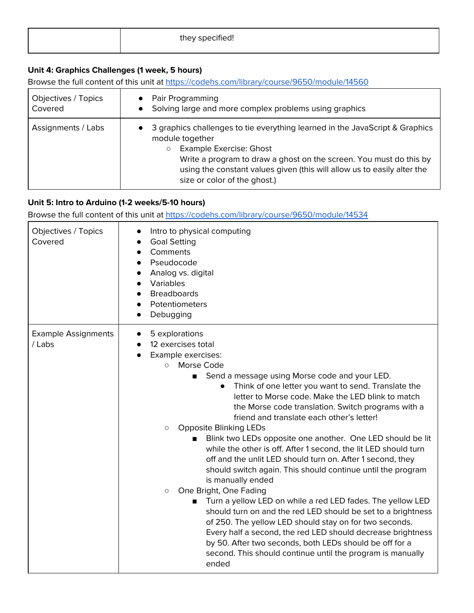| they specified! |  |
|-----------------|--|
|                 |  |

# **Unit 4: Graphics Challenges (1 week, 5 hours)**

Browse the full content of this unit at <https://codehs.com/library/course/9650/module/14560>

| Objectives / Topics | Pair Programming                                                                                                                                                                                                                                                                                                                          |
|---------------------|-------------------------------------------------------------------------------------------------------------------------------------------------------------------------------------------------------------------------------------------------------------------------------------------------------------------------------------------|
| Covered             | Solving large and more complex problems using graphics                                                                                                                                                                                                                                                                                    |
| Assignments / Labs  | 3 graphics challenges to tie everything learned in the JavaScript & Graphics<br>module together<br><b>Example Exercise: Ghost</b><br>$\circlearrowright$<br>Write a program to draw a ghost on the screen. You must do this by<br>using the constant values given (this will allow us to easily alter the<br>size or color of the ghost.) |

# **Unit 5: Intro to Arduino (1-2 weeks/5-10 hours)**

| Objectives / Topics<br>Covered       | Intro to physical computing<br><b>Goal Setting</b><br>Comments<br>Pseudocode<br>Analog vs. digital<br>Variables<br><b>Breadboards</b><br>Potentiometers<br>Debugging                                                                                                                                                                                                                                                                                                                                                                                                                                                                                                                                                                                                                                                                                                                                                                                                                                                                                                                                                                                 |
|--------------------------------------|------------------------------------------------------------------------------------------------------------------------------------------------------------------------------------------------------------------------------------------------------------------------------------------------------------------------------------------------------------------------------------------------------------------------------------------------------------------------------------------------------------------------------------------------------------------------------------------------------------------------------------------------------------------------------------------------------------------------------------------------------------------------------------------------------------------------------------------------------------------------------------------------------------------------------------------------------------------------------------------------------------------------------------------------------------------------------------------------------------------------------------------------------|
| <b>Example Assignments</b><br>/ Labs | 5 explorations<br>12 exercises total<br>Example exercises:<br>Morse Code<br>$\circ$<br>Send a message using Morse code and your LED.<br>$\blacksquare$<br>Think of one letter you want to send. Translate the<br>$\bullet$<br>letter to Morse code. Make the LED blink to match<br>the Morse code translation. Switch programs with a<br>friend and translate each other's letter!<br><b>Opposite Blinking LEDs</b><br>$\circ$<br>Blink two LEDs opposite one another. One LED should be lit<br>п<br>while the other is off. After 1 second, the lit LED should turn<br>off and the unlit LED should turn on. After 1 second, they<br>should switch again. This should continue until the program<br>is manually ended<br>One Bright, One Fading<br>$\circ$<br>Turn a yellow LED on while a red LED fades. The yellow LED<br>should turn on and the red LED should be set to a brightness<br>of 250. The yellow LED should stay on for two seconds.<br>Every half a second, the red LED should decrease brightness<br>by 50. After two seconds, both LEDs should be off for a<br>second. This should continue until the program is manually<br>ended |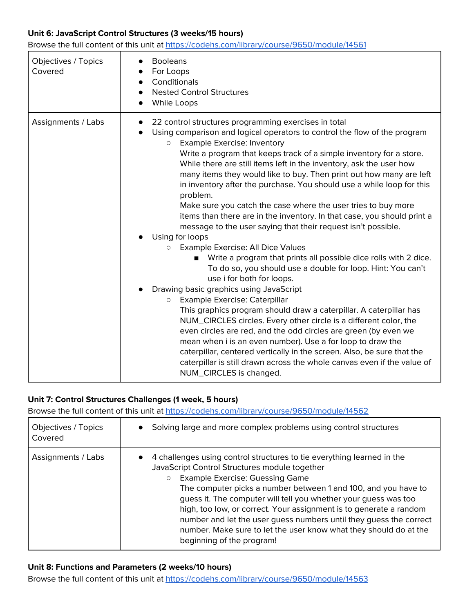#### **Unit 6: JavaScript Control Structures (3 weeks/15 hours)**

Browse the full content of this unit at <https://codehs.com/library/course/9650/module/14561>

| Objectives / Topics<br>Covered | <b>Booleans</b><br>For Loops<br>Conditionals<br><b>Nested Control Structures</b><br>While Loops                                                                                                                                                                                                                                                                                                                                                                                                                                                                                                                                                                                                                                                                                                                                                                                                                                                                                                                                                                                                                                                                                                                                                                                                                                                                                                                                                                                                              |
|--------------------------------|--------------------------------------------------------------------------------------------------------------------------------------------------------------------------------------------------------------------------------------------------------------------------------------------------------------------------------------------------------------------------------------------------------------------------------------------------------------------------------------------------------------------------------------------------------------------------------------------------------------------------------------------------------------------------------------------------------------------------------------------------------------------------------------------------------------------------------------------------------------------------------------------------------------------------------------------------------------------------------------------------------------------------------------------------------------------------------------------------------------------------------------------------------------------------------------------------------------------------------------------------------------------------------------------------------------------------------------------------------------------------------------------------------------------------------------------------------------------------------------------------------------|
| Assignments / Labs             | 22 control structures programming exercises in total<br>$\bullet$<br>Using comparison and logical operators to control the flow of the program<br><b>Example Exercise: Inventory</b><br>$\circ$<br>Write a program that keeps track of a simple inventory for a store.<br>While there are still items left in the inventory, ask the user how<br>many items they would like to buy. Then print out how many are left<br>in inventory after the purchase. You should use a while loop for this<br>problem.<br>Make sure you catch the case where the user tries to buy more<br>items than there are in the inventory. In that case, you should print a<br>message to the user saying that their request isn't possible.<br>Using for loops<br>Example Exercise: All Dice Values<br>$\circ$<br>Write a program that prints all possible dice rolls with 2 dice.<br>To do so, you should use a double for loop. Hint: You can't<br>use i for both for loops.<br>Drawing basic graphics using JavaScript<br>Example Exercise: Caterpillar<br>$\circ$<br>This graphics program should draw a caterpillar. A caterpillar has<br>NUM_CIRCLES circles. Every other circle is a different color, the<br>even circles are red, and the odd circles are green (by even we<br>mean when i is an even number). Use a for loop to draw the<br>caterpillar, centered vertically in the screen. Also, be sure that the<br>caterpillar is still drawn across the whole canvas even if the value of<br>NUM_CIRCLES is changed. |

#### **Unit 7: Control Structures Challenges (1 week, 5 hours)**

Browse the full content of this unit at <https://codehs.com/library/course/9650/module/14562>

| Objectives / Topics<br>Covered | Solving large and more complex problems using control structures                                                                                                                                                                                                                                                                                                                                                                                                                                                                                                |
|--------------------------------|-----------------------------------------------------------------------------------------------------------------------------------------------------------------------------------------------------------------------------------------------------------------------------------------------------------------------------------------------------------------------------------------------------------------------------------------------------------------------------------------------------------------------------------------------------------------|
| Assignments / Labs             | 4 challenges using control structures to tie everything learned in the<br>JavaScript Control Structures module together<br><b>Example Exercise: Guessing Game</b><br>$\circ$<br>The computer picks a number between 1 and 100, and you have to<br>guess it. The computer will tell you whether your guess was too<br>high, too low, or correct. Your assignment is to generate a random<br>number and let the user guess numbers until they guess the correct<br>number. Make sure to let the user know what they should do at the<br>beginning of the program! |

#### **Unit 8: Functions and Parameters (2 weeks/10 hours)**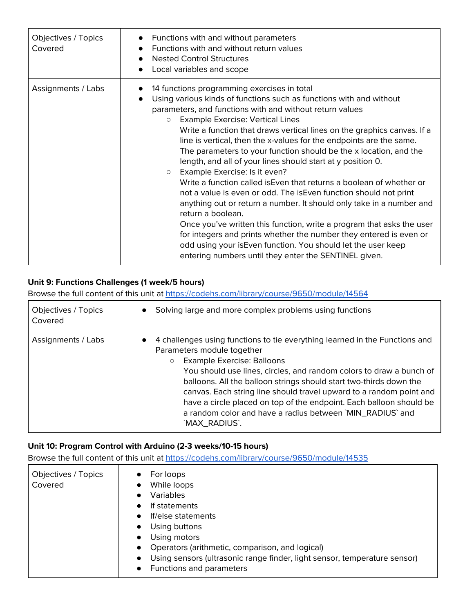| Objectives / Topics<br>Covered | Functions with and without parameters<br>$\bullet$<br>Functions with and without return values<br><b>Nested Control Structures</b><br>$\bullet$<br>Local variables and scope<br>$\bullet$                                                                                                                                                                                                                                                                                                                                                                                                                                                                                                                                                                                                                                                                                                                                                                                                                                                                                                                           |
|--------------------------------|---------------------------------------------------------------------------------------------------------------------------------------------------------------------------------------------------------------------------------------------------------------------------------------------------------------------------------------------------------------------------------------------------------------------------------------------------------------------------------------------------------------------------------------------------------------------------------------------------------------------------------------------------------------------------------------------------------------------------------------------------------------------------------------------------------------------------------------------------------------------------------------------------------------------------------------------------------------------------------------------------------------------------------------------------------------------------------------------------------------------|
| Assignments / Labs             | 14 functions programming exercises in total<br>$\bullet$<br>Using various kinds of functions such as functions with and without<br>$\bullet$<br>parameters, and functions with and without return values<br><b>Example Exercise: Vertical Lines</b><br>$\circ$<br>Write a function that draws vertical lines on the graphics canvas. If a<br>line is vertical, then the x-values for the endpoints are the same.<br>The parameters to your function should be the x location, and the<br>length, and all of your lines should start at y position 0.<br>Example Exercise: Is it even?<br>$\circ$<br>Write a function called is Even that returns a boolean of whether or<br>not a value is even or odd. The is Even function should not print<br>anything out or return a number. It should only take in a number and<br>return a boolean.<br>Once you've written this function, write a program that asks the user<br>for integers and prints whether the number they entered is even or<br>odd using your is Even function. You should let the user keep<br>entering numbers until they enter the SENTINEL given. |

# **Unit 9: Functions Challenges (1 week/5 hours)**

Browse the full content of this unit at <https://codehs.com/library/course/9650/module/14564>

| Objectives / Topics<br>Covered | Solving large and more complex problems using functions                                                                                                                                                                                                                                                                                                                                                                                                                                                                            |
|--------------------------------|------------------------------------------------------------------------------------------------------------------------------------------------------------------------------------------------------------------------------------------------------------------------------------------------------------------------------------------------------------------------------------------------------------------------------------------------------------------------------------------------------------------------------------|
| Assignments / Labs             | 4 challenges using functions to tie everything learned in the Functions and<br>Parameters module together<br><b>Example Exercise: Balloons</b><br>$\circ$<br>You should use lines, circles, and random colors to draw a bunch of<br>balloons. All the balloon strings should start two-thirds down the<br>canvas. Each string line should travel upward to a random point and<br>have a circle placed on top of the endpoint. Each balloon should be<br>a random color and have a radius between `MIN_RADIUS` and<br>`MAX_RADIUS`. |

#### **Unit 10: Program Control with Arduino (2-3 weeks/10-15 hours)**

| Objectives / Topics<br>Covered | For loops<br>$\bullet$<br>While loops<br>$\bullet$<br><b>Variables</b><br>$\bullet$<br>If statements<br>$\bullet$<br>If/else statements<br>$\bullet$<br>Using buttons<br>$\bullet$<br>Using motors<br>$\bullet$<br>Operators (arithmetic, comparison, and logical)<br>$\bullet$<br>Using sensors (ultrasonic range finder, light sensor, temperature sensor)<br>$\bullet$ |
|--------------------------------|---------------------------------------------------------------------------------------------------------------------------------------------------------------------------------------------------------------------------------------------------------------------------------------------------------------------------------------------------------------------------|
|                                | Functions and parameters<br>$\bullet$                                                                                                                                                                                                                                                                                                                                     |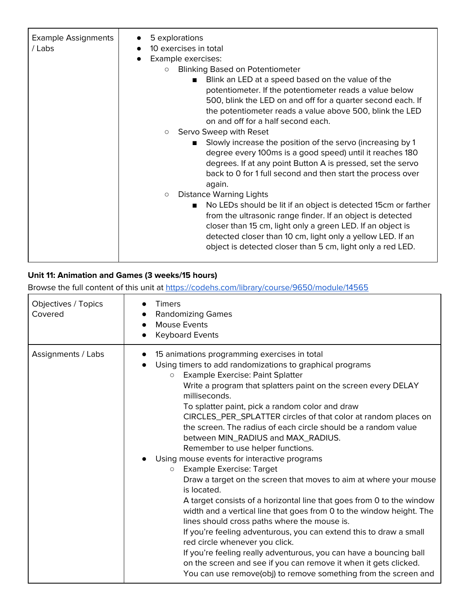| <b>Example Assignments</b><br>/ Labs | 5 explorations<br>$\bullet$<br>10 exercises in total<br>$\bullet$<br>Example exercises:<br><b>Blinking Based on Potentiometer</b><br>$\circ$<br>Blink an LED at a speed based on the value of the<br>$\blacksquare$<br>potentiometer. If the potentiometer reads a value below<br>500, blink the LED on and off for a quarter second each. If<br>the potentiometer reads a value above 500, blink the LED<br>on and off for a half second each.<br>Servo Sweep with Reset<br>$\circ$<br>Slowly increase the position of the servo (increasing by 1<br>degree every 100ms is a good speed) until it reaches 180<br>degrees. If at any point Button A is pressed, set the servo<br>back to 0 for 1 full second and then start the process over<br>again.<br><b>Distance Warning Lights</b><br>$\circlearrowright$<br>No LEDs should be lit if an object is detected 15cm or farther<br>$\blacksquare$<br>from the ultrasonic range finder. If an object is detected |
|--------------------------------------|-------------------------------------------------------------------------------------------------------------------------------------------------------------------------------------------------------------------------------------------------------------------------------------------------------------------------------------------------------------------------------------------------------------------------------------------------------------------------------------------------------------------------------------------------------------------------------------------------------------------------------------------------------------------------------------------------------------------------------------------------------------------------------------------------------------------------------------------------------------------------------------------------------------------------------------------------------------------|
|                                      | closer than 15 cm, light only a green LED. If an object is<br>detected closer than 10 cm, light only a yellow LED. If an<br>object is detected closer than 5 cm, light only a red LED.                                                                                                                                                                                                                                                                                                                                                                                                                                                                                                                                                                                                                                                                                                                                                                            |

# **Unit 11: Animation and Games (3 weeks/15 hours)**

| Objectives / Topics<br>Covered | <b>Timers</b><br><b>Randomizing Games</b><br><b>Mouse Events</b><br><b>Keyboard Events</b><br>$\bullet$                                                                                                                                                                                                                                                                                                                                                                                                                                                                                                                                                                                                                                                                                                                                                                                                                                                                                                                                                                                                                                                                                                              |
|--------------------------------|----------------------------------------------------------------------------------------------------------------------------------------------------------------------------------------------------------------------------------------------------------------------------------------------------------------------------------------------------------------------------------------------------------------------------------------------------------------------------------------------------------------------------------------------------------------------------------------------------------------------------------------------------------------------------------------------------------------------------------------------------------------------------------------------------------------------------------------------------------------------------------------------------------------------------------------------------------------------------------------------------------------------------------------------------------------------------------------------------------------------------------------------------------------------------------------------------------------------|
| Assignments / Labs             | 15 animations programming exercises in total<br>Using timers to add randomizations to graphical programs<br><b>Example Exercise: Paint Splatter</b><br>$\circ$<br>Write a program that splatters paint on the screen every DELAY<br>milliseconds.<br>To splatter paint, pick a random color and draw<br>CIRCLES_PER_SPLATTER circles of that color at random places on<br>the screen. The radius of each circle should be a random value<br>between MIN_RADIUS and MAX_RADIUS.<br>Remember to use helper functions.<br>Using mouse events for interactive programs<br><b>Example Exercise: Target</b><br>O<br>Draw a target on the screen that moves to aim at where your mouse<br>is located.<br>A target consists of a horizontal line that goes from 0 to the window<br>width and a vertical line that goes from 0 to the window height. The<br>lines should cross paths where the mouse is.<br>If you're feeling adventurous, you can extend this to draw a small<br>red circle whenever you click.<br>If you're feeling really adventurous, you can have a bouncing ball<br>on the screen and see if you can remove it when it gets clicked.<br>You can use remove(obj) to remove something from the screen and |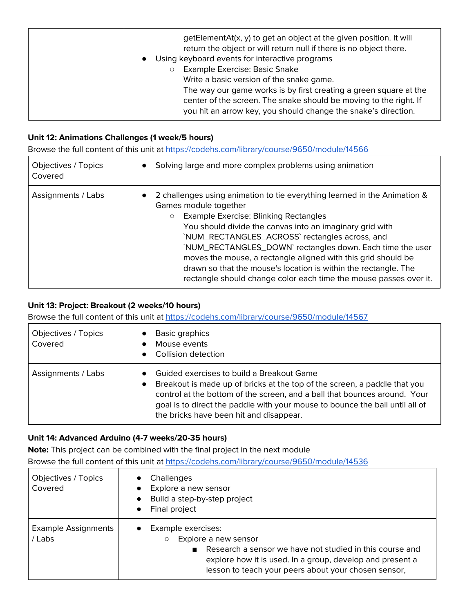| getElementAt(x, y) to get an object at the given position. It will<br>return the object or will return null if there is no object there.<br>• Using keyboard events for interactive programs<br><b>Example Exercise: Basic Snake</b><br>Write a basic version of the snake game.<br>The way our game works is by first creating a green square at the<br>center of the screen. The snake should be moving to the right. If<br>you hit an arrow key, you should change the snake's direction. |  |
|----------------------------------------------------------------------------------------------------------------------------------------------------------------------------------------------------------------------------------------------------------------------------------------------------------------------------------------------------------------------------------------------------------------------------------------------------------------------------------------------|--|
|----------------------------------------------------------------------------------------------------------------------------------------------------------------------------------------------------------------------------------------------------------------------------------------------------------------------------------------------------------------------------------------------------------------------------------------------------------------------------------------------|--|

#### **Unit 12: Animations Challenges (1 week/5 hours)**

Browse the full content of this unit at <https://codehs.com/library/course/9650/module/14566>

| Objectives / Topics<br>Covered | Solving large and more complex problems using animation                                                                                                                                                                                                                                                                                                                                                                                                                                                                                            |
|--------------------------------|----------------------------------------------------------------------------------------------------------------------------------------------------------------------------------------------------------------------------------------------------------------------------------------------------------------------------------------------------------------------------------------------------------------------------------------------------------------------------------------------------------------------------------------------------|
| Assignments / Labs             | • 2 challenges using animation to tie everything learned in the Animation &<br>Games module together<br><b>Example Exercise: Blinking Rectangles</b><br>$\circ$<br>You should divide the canvas into an imaginary grid with<br>`NUM_RECTANGLES_ACROSS` rectangles across, and<br>`NUM_RECTANGLES_DOWN`rectangles down. Each time the user<br>moves the mouse, a rectangle aligned with this grid should be<br>drawn so that the mouse's location is within the rectangle. The<br>rectangle should change color each time the mouse passes over it. |

#### **Unit 13: Project: Breakout (2 weeks/10 hours)**

Browse the full content of this unit at <https://codehs.com/library/course/9650/module/14567>

| Objectives / Topics<br>Covered | Basic graphics<br>Mouse events<br>Collision detection                                                                                                                                                                                                                                                                          |
|--------------------------------|--------------------------------------------------------------------------------------------------------------------------------------------------------------------------------------------------------------------------------------------------------------------------------------------------------------------------------|
| Assignments / Labs             | Guided exercises to build a Breakout Game<br>Breakout is made up of bricks at the top of the screen, a paddle that you<br>control at the bottom of the screen, and a ball that bounces around. Your<br>goal is to direct the paddle with your mouse to bounce the ball until all of<br>the bricks have been hit and disappear. |

#### **Unit 14: Advanced Arduino (4-7 weeks/20-35 hours)**

**Note:** This project can be combined with the final project in the next module

| Objectives / Topics<br>Covered       | Challenges<br>$\bullet$<br>Explore a new sensor<br>Build a step-by-step project<br>Final project<br>$\bullet$                                                                                                                                                         |
|--------------------------------------|-----------------------------------------------------------------------------------------------------------------------------------------------------------------------------------------------------------------------------------------------------------------------|
| <b>Example Assignments</b><br>/ Labs | Example exercises:<br>$\bullet$<br>Explore a new sensor<br>$\circ$<br>Research a sensor we have not studied in this course and<br>$\blacksquare$<br>explore how it is used. In a group, develop and present a<br>lesson to teach your peers about your chosen sensor, |